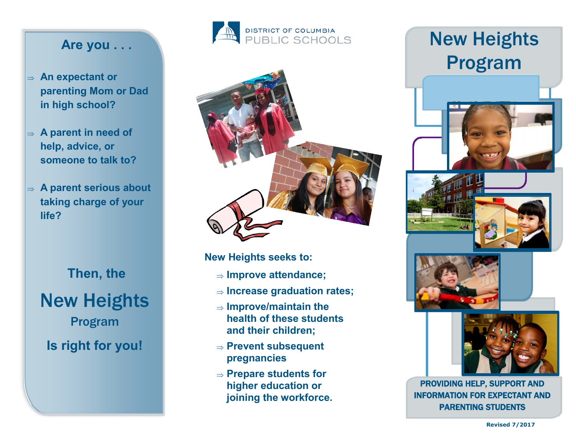## **Are you . . .**

- **An expectant or parenting Mom or Dad in high school?**
- **A parent in need of help, advice, or someone to talk to?**
- **A parent serious about taking charge of your life?**

New Heights Program **Is right for you! Then, the**





**New Heights seeks to:** 

- **Improve attendance;**
- **Increase graduation rates;**
- **Improve/maintain the health of these students and their children;**
- **Prevent subsequent pregnancies**
- **Prepare students for higher education or joining the workforce.**

## New Heights Program









PROVIDING HELP, SUPPORT AND INFORMATION FOR EXPECTANT AND PARENTING STUDENTS